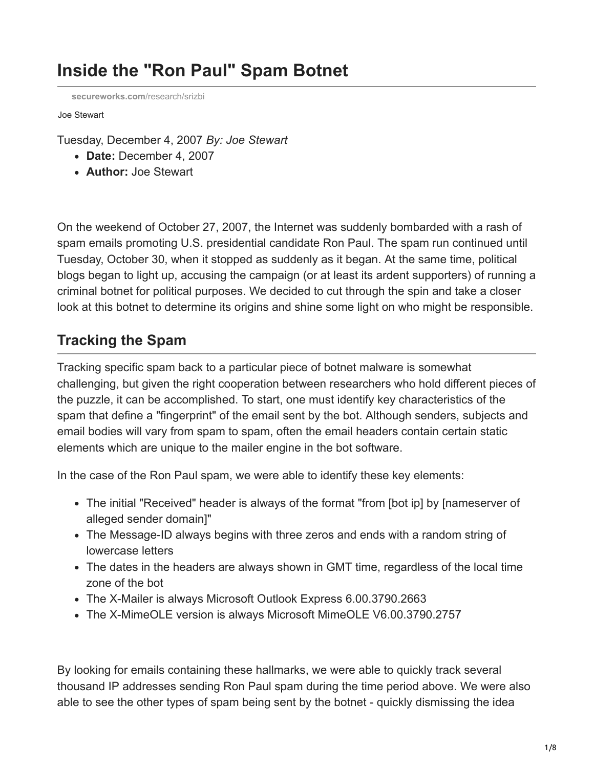# **Inside the "Ron Paul" Spam Botnet**

**[secureworks.com](https://www.secureworks.com/research/srizbi)**/research/srizbi

Joe Stewart

Tuesday, December 4, 2007 *By: Joe Stewart*

- **Date:** December 4, 2007
- **Author:** Joe Stewart

On the weekend of October 27, 2007, the Internet was suddenly bombarded with a rash of spam emails promoting U.S. presidential candidate Ron Paul. The spam run continued until Tuesday, October 30, when it stopped as suddenly as it began. At the same time, political blogs began to light up, accusing the campaign (or at least its ardent supporters) of running a criminal botnet for political purposes. We decided to cut through the spin and take a closer look at this botnet to determine its origins and shine some light on who might be responsible.

### **Tracking the Spam**

Tracking specific spam back to a particular piece of botnet malware is somewhat challenging, but given the right cooperation between researchers who hold different pieces of the puzzle, it can be accomplished. To start, one must identify key characteristics of the spam that define a "fingerprint" of the email sent by the bot. Although senders, subjects and email bodies will vary from spam to spam, often the email headers contain certain static elements which are unique to the mailer engine in the bot software.

In the case of the Ron Paul spam, we were able to identify these key elements:

- The initial "Received" header is always of the format "from [bot ip] by [nameserver of alleged sender domain]"
- The Message-ID always begins with three zeros and ends with a random string of lowercase letters
- The dates in the headers are always shown in GMT time, regardless of the local time zone of the bot
- The X-Mailer is always Microsoft Outlook Express 6.00.3790.2663
- The X-MimeOLE version is always Microsoft MimeOLE V6.00.3790.2757

By looking for emails containing these hallmarks, we were able to quickly track several thousand IP addresses sending Ron Paul spam during the time period above. We were also able to see the other types of spam being sent by the botnet - quickly dismissing the idea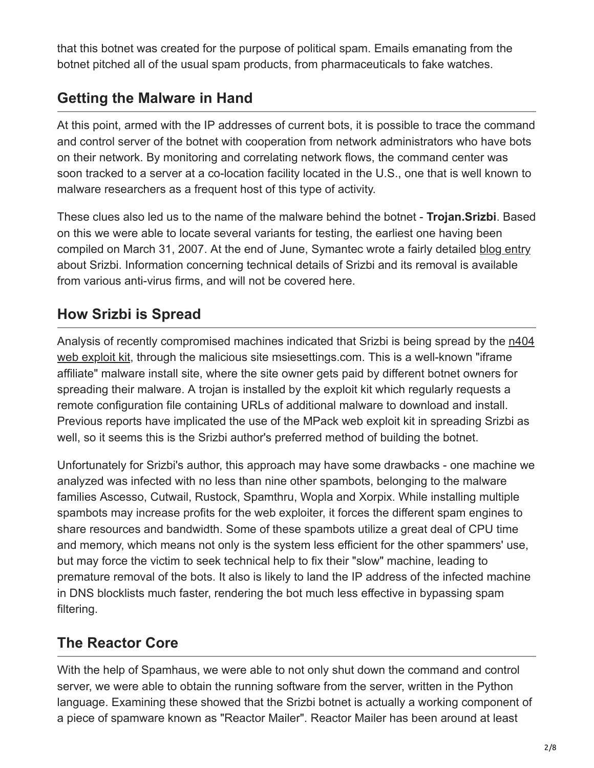that this botnet was created for the purpose of political spam. Emails emanating from the botnet pitched all of the usual spam products, from pharmaceuticals to fake watches.

### **Getting the Malware in Hand**

At this point, armed with the IP addresses of current bots, it is possible to trace the command and control server of the botnet with cooperation from network administrators who have bots on their network. By monitoring and correlating network flows, the command center was soon tracked to a server at a co-location facility located in the U.S., one that is well known to malware researchers as a frequent host of this type of activity.

These clues also led us to the name of the malware behind the botnet - **Trojan.Srizbi**. Based on this we were able to locate several variants for testing, the earliest one having been compiled on March 31, 2007. At the end of June, Symantec wrote a fairly detailed [blog entry](http://www.symantec.com/enterprise/security_response/weblog/2007/06/spam_from_the_kernel_fullkerne.html) about Srizbi. Information concerning technical details of Srizbi and its removal is available from various anti-virus firms, and will not be covered here.

# **How Srizbi is Spread**

[Analysis of recently compromised machines indicated that Srizbi is being spread by the n404](http://blog.trendmicro.com/the-404-story/) web exploit kit, through the malicious site msiesettings.com. This is a well-known "iframe affiliate" malware install site, where the site owner gets paid by different botnet owners for spreading their malware. A trojan is installed by the exploit kit which regularly requests a remote configuration file containing URLs of additional malware to download and install. Previous reports have implicated the use of the MPack web exploit kit in spreading Srizbi as well, so it seems this is the Srizbi author's preferred method of building the botnet.

Unfortunately for Srizbi's author, this approach may have some drawbacks - one machine we analyzed was infected with no less than nine other spambots, belonging to the malware families Ascesso, Cutwail, Rustock, Spamthru, Wopla and Xorpix. While installing multiple spambots may increase profits for the web exploiter, it forces the different spam engines to share resources and bandwidth. Some of these spambots utilize a great deal of CPU time and memory, which means not only is the system less efficient for the other spammers' use, but may force the victim to seek technical help to fix their "slow" machine, leading to premature removal of the bots. It also is likely to land the IP address of the infected machine in DNS blocklists much faster, rendering the bot much less effective in bypassing spam filtering.

### **The Reactor Core**

With the help of Spamhaus, we were able to not only shut down the command and control server, we were able to obtain the running software from the server, written in the Python language. Examining these showed that the Srizbi botnet is actually a working component of a piece of spamware known as "Reactor Mailer". Reactor Mailer has been around at least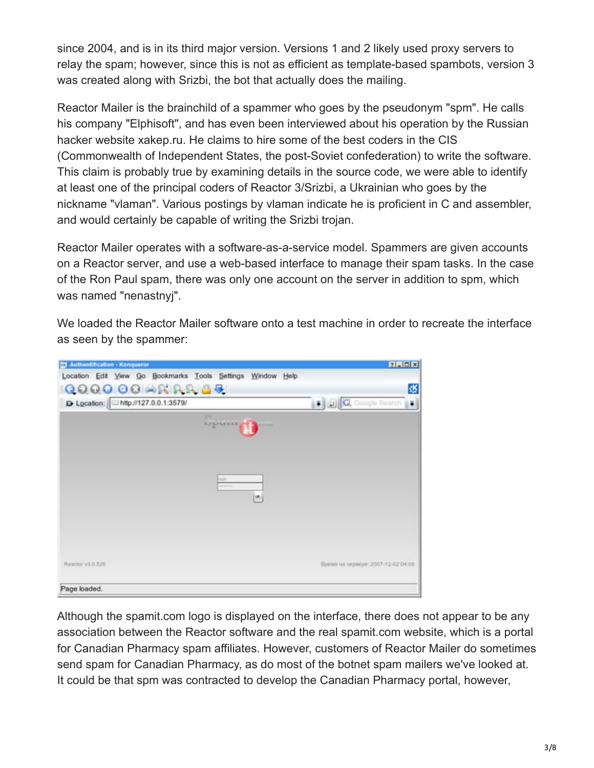since 2004, and is in its third major version. Versions 1 and 2 likely used proxy servers to relay the spam; however, since this is not as efficient as template-based spambots, version 3 was created along with Srizbi, the bot that actually does the mailing.

Reactor Mailer is the brainchild of a spammer who goes by the pseudonym "spm". He calls his company "Elphisoft", and has even been interviewed about his operation by the Russian hacker website xakep.ru. He claims to hire some of the best coders in the CIS (Commonwealth of Independent States, the post-Soviet confederation) to write the software. This claim is probably true by examining details in the source code, we were able to identify at least one of the principal coders of Reactor 3/Srizbi, a Ukrainian who goes by the nickname "vlaman". Various postings by vlaman indicate he is proficient in C and assembler, and would certainly be capable of writing the Srizbi trojan.

Reactor Mailer operates with a software-as-a-service model. Spammers are given accounts on a Reactor server, and use a web-based interface to manage their spam tasks. In the case of the Ron Paul spam, there was only one account on the server in addition to spm, which was named "nenastnyj".

We loaded the Reactor Mailer software onto a test machine in order to recreate the interface as seen by the spammer:

| <b>23 Authentification - Konqueror</b>                     | $7$ . $\Box$ $\times$              |
|------------------------------------------------------------|------------------------------------|
| Location Edit View Go Bookmarks Tools Settings Window Help |                                    |
| <b>Q00000+RRA69</b>                                        | 谈                                  |
| D Location: http://127.0.0.1:3579/                         | C Google Search                    |
| <b>VS</b><br>Upine 6                                       |                                    |
| tem.<br>[×]                                                |                                    |
| Reactor v3.0.528                                           | Время на серворе: 2007-12-02 04:08 |
| Page loaded.                                               |                                    |

Although the spamit.com logo is displayed on the interface, there does not appear to be any association between the Reactor software and the real spamit.com website, which is a portal for Canadian Pharmacy spam affiliates. However, customers of Reactor Mailer do sometimes send spam for Canadian Pharmacy, as do most of the botnet spam mailers we've looked at. It could be that spm was contracted to develop the Canadian Pharmacy portal, however,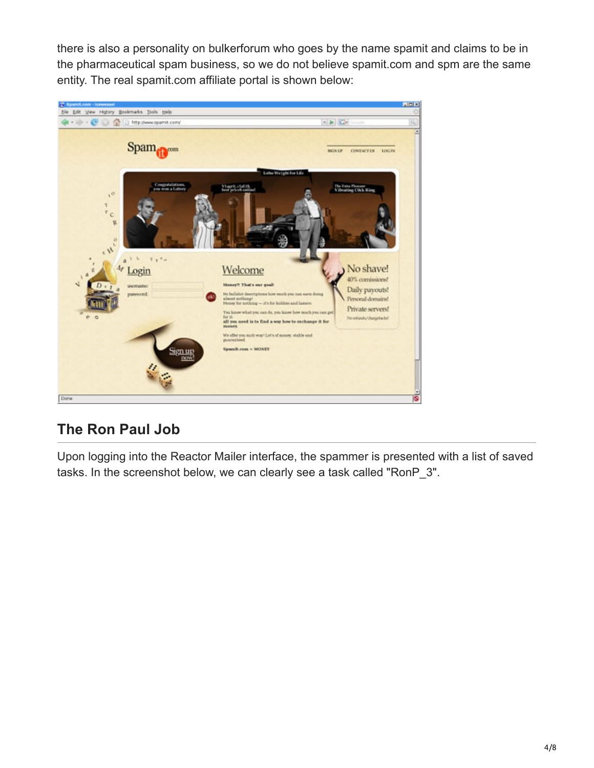there is also a personality on bulkerforum who goes by the name spamit and claims to be in the pharmaceutical spam business, so we do not believe spamit.com and spm are the same entity. The real spamit.com affiliate portal is shown below:



# **The Ron Paul Job**

Upon logging into the Reactor Mailer interface, the spammer is presented with a list of saved tasks. In the screenshot below, we can clearly see a task called "RonP\_3".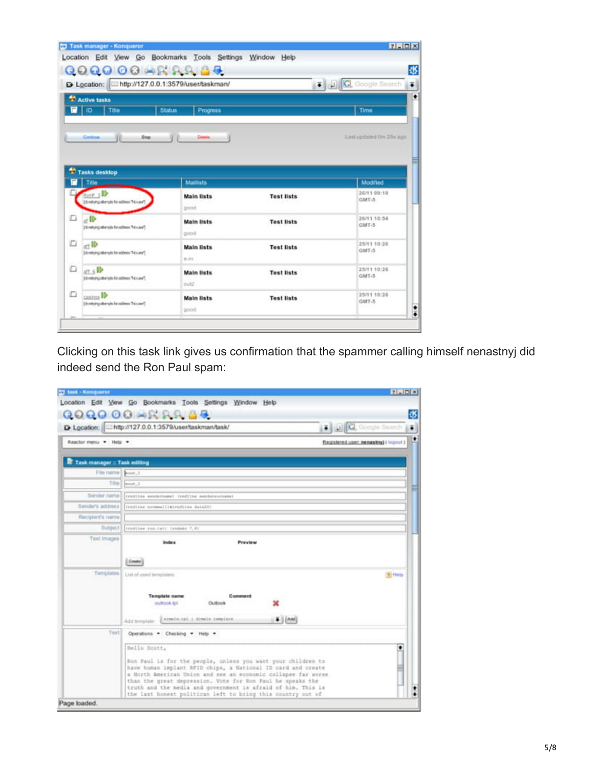|             | Q0Q000 HRRACE<br>D Location: http://127.0.0.1:3579/user/taskman/  |                             | <b>7 J G.</b> Google Search |                          |
|-------------|-------------------------------------------------------------------|-----------------------------|-----------------------------|--------------------------|
|             | Active tasks<br>ID.<br>Title                                      | <b>Status</b><br>Progress   |                             | Time                     |
|             | Stop<br>Continue<br>Tasks desktop                                 | Deteire                     |                             | Last updated On 2th ago. |
|             | Title                                                             | <b>Maillists</b>            |                             | Modified                 |
|             | tone y ID                                                         | <b>Main lists</b>           | <b>Test lists</b>           | 26/11 09:10<br>GMT-5     |
|             | <b>I to return a dempto for actives "No case"</b>                 | <b>BOOD</b>                 |                             |                          |
|             | ar III»<br>[tuesday and to appropriate at ]                       | <b>Main lists</b><br>good   | <b>Test lists</b>           | 26/11 10:54<br>GMT-5     |
|             | att ID<br>[teachFoothin stufferstuffer.b)                         | <b>Main lists</b><br>e-211. | <b>Test lists</b>           | 25/11 10:26<br>GMT-5     |
| D<br>o<br>o | $\Pi$ <sub>2.716</sub><br>(belief galleryte for attives "Nicean") | <b>Main lists</b><br>out2   | <b>Test lists</b>           | 25/11 10:26<br>GMT-5     |

Clicking on this task link gives us confirmation that the spammer calling himself nenastnyj did indeed send the Ron Paul spam:

|                              | <b>C</b> Google Search<br>E> Location:   http://127.0.0.1:3579/user/taskman/task/                                                                                                                                                                                                                                                                                                                          |               |
|------------------------------|------------------------------------------------------------------------------------------------------------------------------------------------------------------------------------------------------------------------------------------------------------------------------------------------------------------------------------------------------------------------------------------------------------|---------------|
| Reactor menu . Help .        | Registered user: nenastry( (logout)                                                                                                                                                                                                                                                                                                                                                                        |               |
| Task manager :: Task editing |                                                                                                                                                                                                                                                                                                                                                                                                            |               |
| File name   \$1000.3         |                                                                                                                                                                                                                                                                                                                                                                                                            |               |
| Title                        | $p_{\text{max}}=3$                                                                                                                                                                                                                                                                                                                                                                                         |               |
|                              | Sendor name (creditos exeternose) (rediine conferenceses)                                                                                                                                                                                                                                                                                                                                                  |               |
|                              | Sender's address   (coating notmestile(roding detail)                                                                                                                                                                                                                                                                                                                                                      |               |
| Recipient's name             |                                                                                                                                                                                                                                                                                                                                                                                                            |               |
|                              | Subject (irodine run.twt) irodate 7,41                                                                                                                                                                                                                                                                                                                                                                     |               |
| Text Images                  | <b>Index</b><br>Preview                                                                                                                                                                                                                                                                                                                                                                                    |               |
| Terriplates.                 | List of used templates:                                                                                                                                                                                                                                                                                                                                                                                    | <b>P</b> Help |
|                              | <b>Template name</b><br>Comment<br>but foot to<br>Outlook<br>simple.toi.i.dimein.complate.<br># [ [AM]<br>Add template                                                                                                                                                                                                                                                                                     |               |
| Text                         | Operations . Checking . Help .                                                                                                                                                                                                                                                                                                                                                                             |               |
|                              | Hello Scott,<br>Ron Faul is for the people, unless you want your children to<br>have human implant RFID chips, a National ID card and create<br>a Horth American Union and see an economic collapse far worse<br>than the great depression. Vote for Ron Paul he speaks the<br>truth and the nedia and government is afraid of him. This is<br>the last honest politican left to bring this country out of |               |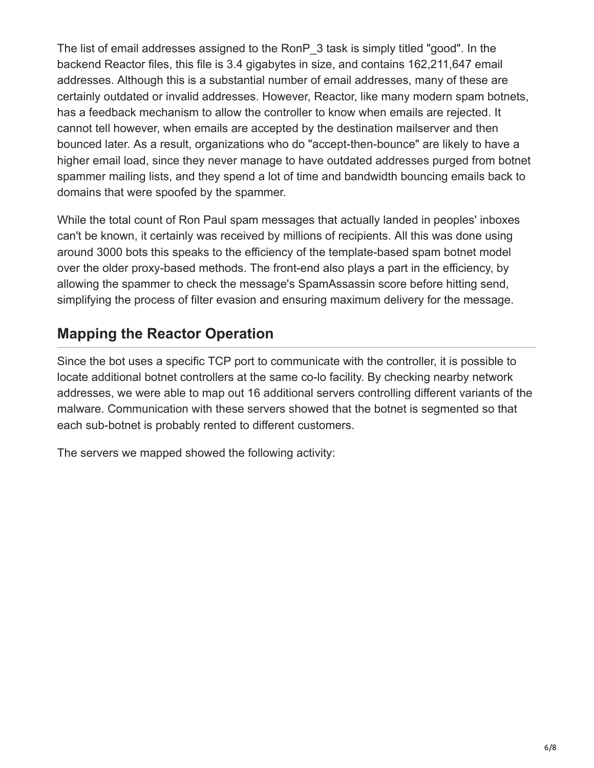The list of email addresses assigned to the RonP 3 task is simply titled "good". In the backend Reactor files, this file is 3.4 gigabytes in size, and contains 162,211,647 email addresses. Although this is a substantial number of email addresses, many of these are certainly outdated or invalid addresses. However, Reactor, like many modern spam botnets, has a feedback mechanism to allow the controller to know when emails are rejected. It cannot tell however, when emails are accepted by the destination mailserver and then bounced later. As a result, organizations who do "accept-then-bounce" are likely to have a higher email load, since they never manage to have outdated addresses purged from botnet spammer mailing lists, and they spend a lot of time and bandwidth bouncing emails back to domains that were spoofed by the spammer.

While the total count of Ron Paul spam messages that actually landed in peoples' inboxes can't be known, it certainly was received by millions of recipients. All this was done using around 3000 bots this speaks to the efficiency of the template-based spam botnet model over the older proxy-based methods. The front-end also plays a part in the efficiency, by allowing the spammer to check the message's SpamAssassin score before hitting send, simplifying the process of filter evasion and ensuring maximum delivery for the message.

# **Mapping the Reactor Operation**

Since the bot uses a specific TCP port to communicate with the controller, it is possible to locate additional botnet controllers at the same co-lo facility. By checking nearby network addresses, we were able to map out 16 additional servers controlling different variants of the malware. Communication with these servers showed that the botnet is segmented so that each sub-botnet is probably rented to different customers.

The servers we mapped showed the following activity: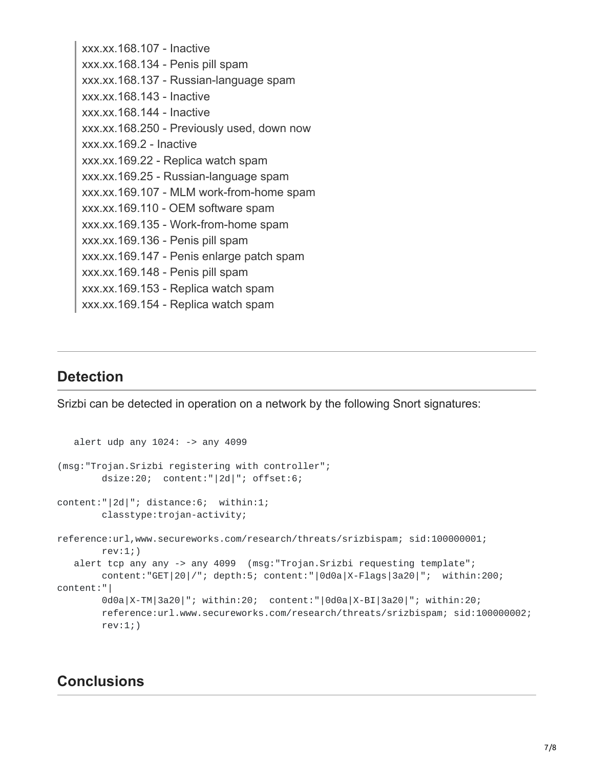xxx.xx.168.107 - Inactive xxx.xx.168.134 - Penis pill spam xxx.xx.168.137 - Russian-language spam xxx.xx.168.143 - Inactive xxx.xx.168.144 - Inactive xxx.xx.168.250 - Previously used, down now xxx.xx.169.2 - Inactive xxx.xx.169.22 - Replica watch spam xxx.xx.169.25 - Russian-language spam xxx.xx.169.107 - MLM work-from-home spam xxx.xx.169.110 - OEM software spam xxx.xx.169.135 - Work-from-home spam xxx.xx.169.136 - Penis pill spam xxx.xx.169.147 - Penis enlarge patch spam xxx.xx.169.148 - Penis pill spam xxx.xx.169.153 - Replica watch spam xxx.xx.169.154 - Replica watch spam

### **Detection**

Srizbi can be detected in operation on a network by the following Snort signatures:

```
alert udp any 1024: -> any 4099
(msg:"Trojan.Srizbi registering with controller";
       dsize:20; content:"|2d|"; offset:6;
content:"|2d|"; distance:6; within:1;
       classtype:trojan-activity;
reference:url,www.secureworks.com/research/threats/srizbispam; sid:100000001;
       rev:1;)
  alert tcp any any -> any 4099 (msg:"Trojan.Srizbi requesting template";
       content:"GET|20|/"; depth:5; content:"|0d0a|X-Flags|3a20|"; within:200;
content:"|
       0d0a|X-TM|3a20|"; within:20; content:"|0d0a|X-BI|3a20|"; within:20;
       reference:url.www.secureworks.com/research/threats/srizbispam; sid:100000002;
       rev:1;)
```
#### **Conclusions**